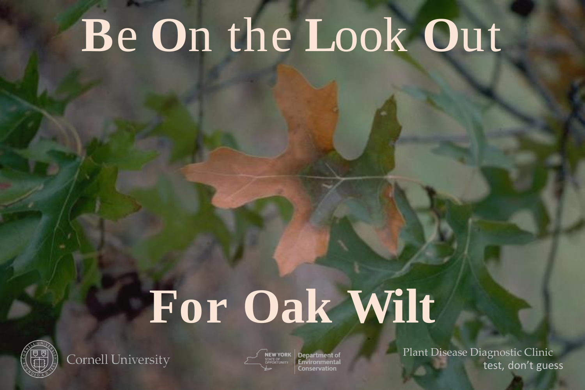## Be On the Look Out

# For Oak Wilt



Cornell University

Department of

Plant Disease Diagnostic Clinic test, don't guess